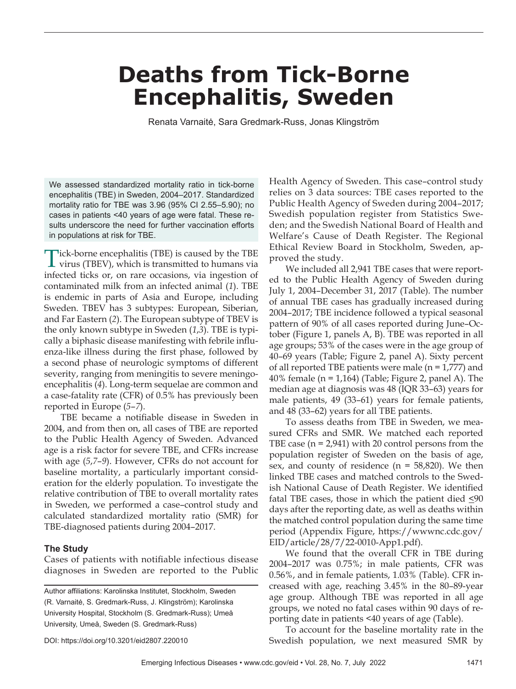## **Deaths from Tick-Borne Encephalitis, Sweden**

Renata Varnaitė, Sara Gredmark-Russ, Jonas Klingström

We assessed standardized mortality ratio in tick-borne encephalitis (TBE) in Sweden, 2004–2017. Standardized mortality ratio for TBE was 3.96 (95% CI 2.55–5.90); no cases in patients <40 years of age were fatal. These results underscore the need for further vaccination efforts in populations at risk for TBE.

Tick-borne encephalitis (TBE) is caused by the TBE virus (TBEV), which is transmitted to humans via infected ticks or, on rare occasions, via ingestion of contaminated milk from an infected animal (*1*). TBE is endemic in parts of Asia and Europe, including Sweden. TBEV has 3 subtypes: European, Siberian, and Far Eastern (*2*). The European subtype of TBEV is the only known subtype in Sweden (*1*,*3*). TBE is typically a biphasic disease manifesting with febrile influenza-like illness during the first phase, followed by a second phase of neurologic symptoms of different severity, ranging from meningitis to severe meningoencephalitis (*4*). Long-term sequelae are common and a case-fatality rate (CFR) of 0.5% has previously been reported in Europe (*5*–*7*).

TBE became a notifiable disease in Sweden in 2004, and from then on, all cases of TBE are reported to the Public Health Agency of Sweden. Advanced age is a risk factor for severe TBE, and CFRs increase with age (*5*,*7*–*9*). However, CFRs do not account for baseline mortality, a particularly important consideration for the elderly population. To investigate the relative contribution of TBE to overall mortality rates in Sweden, we performed a case–control study and calculated standardized mortality ratio (SMR) for TBE-diagnosed patients during 2004–2017.

#### **The Study**

Cases of patients with notifiable infectious disease diagnoses in Sweden are reported to the Public

Author affiliations: Karolinska Institutet, Stockholm, Sweden (R. Varnaitė, S. Gredmark-Russ, J. Klingström); Karolinska University Hospital, Stockholm (S. Gredmark-Russ); Umeå University, Umeå, Sweden (S. Gredmark-Russ)

Health Agency of Sweden. This case–control study relies on 3 data sources: TBE cases reported to the Public Health Agency of Sweden during 2004–2017; Swedish population register from Statistics Sweden; and the Swedish National Board of Health and Welfare's Cause of Death Register. The Regional Ethical Review Board in Stockholm, Sweden, approved the study.

We included all 2,941 TBE cases that were reported to the Public Health Agency of Sweden during July 1, 2004–December 31, 2017 (Table). The number of annual TBE cases has gradually increased during 2004–2017; TBE incidence followed a typical seasonal pattern of 90% of all cases reported during June–October (Figure 1, panels A, B). TBE was reported in all age groups; 53% of the cases were in the age group of 40–69 years (Table; Figure 2, panel A). Sixty percent of all reported TBE patients were male  $(n = 1,777)$  and 40% female ( $n = 1,164$ ) (Table; Figure 2, panel A). The median age at diagnosis was 48 (IQR 33–63) years for male patients, 49 (33–61) years for female patients, and 48 (33–62) years for all TBE patients.

To assess deaths from TBE in Sweden, we measured CFRs and SMR. We matched each reported TBE case  $(n = 2.941)$  with 20 control persons from the population register of Sweden on the basis of age, sex, and county of residence  $(n = 58,820)$ . We then linked TBE cases and matched controls to the Swedish National Cause of Death Register. We identified fatal TBE cases, those in which the patient died  $\leq 90$ days after the reporting date, as well as deaths within the matched control population during the same time period (Appendix Figure, https://wwwnc.cdc.gov/ EID/article/28/7/22-0010-App1.pdf).

We found that the overall CFR in TBE during 2004–2017 was 0.75%; in male patients, CFR was 0.56%, and in female patients, 1.03% (Table). CFR increased with age, reaching 3.45% in the 80–89-year age group. Although TBE was reported in all age groups, we noted no fatal cases within 90 days of reporting date in patients <40 years of age (Table).

To account for the baseline mortality rate in the Swedish population, we next measured SMR by

DOI: https://doi.org/10.3201/eid2807.220010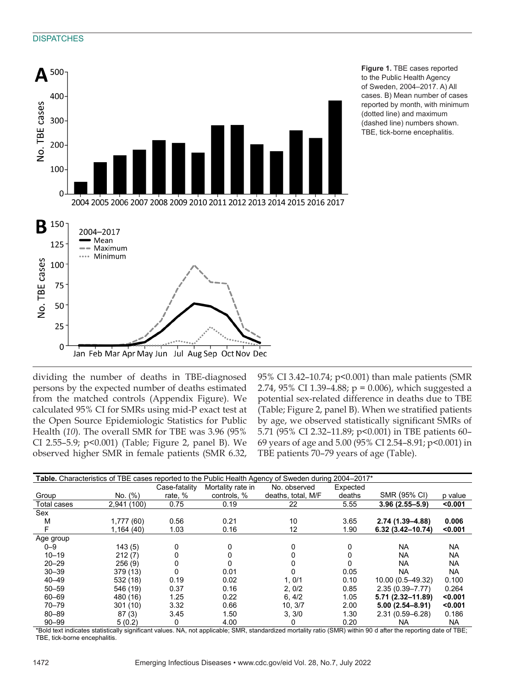#### **DISPATCHES**



dividing the number of deaths in TBE-diagnosed persons by the expected number of deaths estimated from the matched controls (Appendix Figure). We calculated 95% CI for SMRs using mid-P exact test at the Open Source Epidemiologic Statistics for Public Health (*10*). The overall SMR for TBE was 3.96 (95% CI 2.55–5.9; p<0.001) (Table; Figure 2, panel B). We observed higher SMR in female patients (SMR 6.32,

95% CI 3.42–10.74; p<0.001) than male patients (SMR 2.74, 95% CI 1.39–4.88; p = 0.006), which suggested a potential sex-related difference in deaths due to TBE (Table; Figure 2, panel B). When we stratified patients by age, we observed statistically significant SMRs of 5.71 (95% CI 2.32–11.89; p<0.001) in TBE patients 60– 69 years of age and 5.00 (95% CI 2.54–8.91; p<0.001) in TBE patients 70–79 years of age (Table).

| Table. Characteristics of TBE cases reported to the Public Health Agency of Sweden during 2004–2017 <sup>*</sup> |             |               |                   |                    |          |                      |           |
|------------------------------------------------------------------------------------------------------------------|-------------|---------------|-------------------|--------------------|----------|----------------------|-----------|
|                                                                                                                  |             | Case-fatality | Mortality rate in | No. observed       | Expected |                      |           |
| Group                                                                                                            | No. (%)     | rate, %       | controls, %       | deaths, total, M/F | deaths   | SMR (95% CI)         | p value   |
| <b>Total cases</b>                                                                                               | 2,941 (100) | 0.75          | 0.19              | 22                 | 5.55     | $3.96(2.55 - 5.9)$   | < 0.001   |
| Sex                                                                                                              |             |               |                   |                    |          |                      |           |
| M                                                                                                                | 1,777(60)   | 0.56          | 0.21              | 10                 | 3.65     | 2.74 (1.39–4.88)     | 0.006     |
| F                                                                                                                | 1,164(40)   | 1.03          | 0.16              | 12                 | 1.90     | $6.32(3.42 - 10.74)$ | < 0.001   |
| Age group                                                                                                        |             |               |                   |                    |          |                      |           |
| $0 - 9$                                                                                                          | 143(5)      | 0             | 0                 | 0                  | 0        | <b>NA</b>            | <b>NA</b> |
| $10 - 19$                                                                                                        | 212(7)      | 0             |                   |                    | 0        | <b>NA</b>            | <b>NA</b> |
| $20 - 29$                                                                                                        | 256(9)      | 0             |                   |                    | 0        | <b>NA</b>            | <b>NA</b> |
| $30 - 39$                                                                                                        | 379 (13)    | 0             | 0.01              |                    | 0.05     | NA.                  | <b>NA</b> |
| $40 - 49$                                                                                                        | 532 (18)    | 0.19          | 0.02              | 1,0/1              | 0.10     | 10.00 (0.5-49.32)    | 0.100     |
| $50 - 59$                                                                                                        | 546 (19)    | 0.37          | 0.16              | 2, 0/2             | 0.85     | $2.35(0.39 - 7.77)$  | 0.264     |
| $60 - 69$                                                                                                        | 480 (16)    | 1.25          | 0.22              | 6.4/2              | 1.05     | 5.71 (2.32-11.89)    | < 0.001   |
| $70 - 79$                                                                                                        | 301(10)     | 3.32          | 0.66              | 10, 3/7            | 2.00     | $5.00(2.54 - 8.91)$  | < 0.001   |
| $80 - 89$                                                                                                        | 87(3)       | 3.45          | 1.50              | 3, 3/0             | 1.30     | 2.31 (0.59-6.28)     | 0.186     |
| $90 - 99$                                                                                                        | 5(0.2)      | 0             | 4.00              | 0                  | 0.20     | NA.                  | <b>NA</b> |

\*Bold text indicates statistically significant values. NA, not applicable; SMR, standardized mortality ratio (SMR) within 90 d after the reporting date of TBE; TBE, tick-borne encephalitis.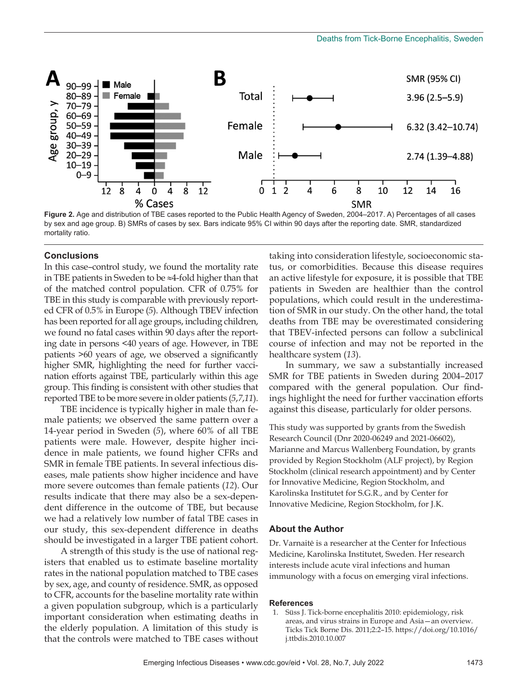

**Figure 2.** Age and distribution of TBE cases reported to the Public Health Agency of Sweden, 2004–2017. A) Percentages of all cases by sex and age group. B) SMRs of cases by sex. Bars indicate 95% CI within 90 days after the reporting date. SMR, standardized mortality ratio.

#### **Conclusions**

In this case–control study, we found the mortality rate in TBE patients in Sweden to be ≈4-fold higher than that of the matched control population. CFR of 0.75% for TBE in this study is comparable with previously reported CFR of 0.5% in Europe (*5*). Although TBEV infection has been reported for all age groups, including children, we found no fatal cases within 90 days after the reporting date in persons <40 years of age. However, in TBE patients >60 years of age, we observed a significantly higher SMR, highlighting the need for further vaccination efforts against TBE, particularly within this age group. This finding is consistent with other studies that reported TBE to be more severe in older patients (*5*,*7*,*11*).

TBE incidence is typically higher in male than female patients; we observed the same pattern over a 14-year period in Sweden (*5*), where 60% of all TBE patients were male. However, despite higher incidence in male patients, we found higher CFRs and SMR in female TBE patients. In several infectious diseases, male patients show higher incidence and have more severe outcomes than female patients (*12*). Our results indicate that there may also be a sex-dependent difference in the outcome of TBE, but because we had a relatively low number of fatal TBE cases in our study, this sex-dependent difference in deaths should be investigated in a larger TBE patient cohort.

A strength of this study is the use of national registers that enabled us to estimate baseline mortality rates in the national population matched to TBE cases by sex, age, and county of residence. SMR, as opposed to CFR, accounts for the baseline mortality rate within a given population subgroup, which is a particularly important consideration when estimating deaths in the elderly population. A limitation of this study is that the controls were matched to TBE cases without

taking into consideration lifestyle, socioeconomic status, or comorbidities. Because this disease requires an active lifestyle for exposure, it is possible that TBE patients in Sweden are healthier than the control populations, which could result in the underestimation of SMR in our study. On the other hand, the total deaths from TBE may be overestimated considering that TBEV-infected persons can follow a subclinical course of infection and may not be reported in the healthcare system (*13*).

In summary, we saw a substantially increased SMR for TBE patients in Sweden during 2004–2017 compared with the general population. Our findings highlight the need for further vaccination efforts against this disease, particularly for older persons.

This study was supported by grants from the Swedish Research Council (Dnr 2020-06249 and 2021-06602), Marianne and Marcus Wallenberg Foundation, by grants provided by Region Stockholm (ALF project), by Region Stockholm (clinical research appointment) and by Center for Innovative Medicine, Region Stockholm, and Karolinska Institutet for S.G.R., and by Center for Innovative Medicine, Region Stockholm, for J.K.

#### **About the Author**

Dr. Varnaitė is a researcher at the Center for Infectious Medicine, Karolinska Institutet, Sweden. Her research interests include acute viral infections and human immunology with a focus on emerging viral infections.

#### **References**

 1. Süss J. Tick-borne encephalitis 2010: epidemiology, risk areas, and virus strains in Europe and Asia—an overview. Ticks Tick Borne Dis. 2011;2:2–15. https://doi.org/10.1016/ j.ttbdis.2010.10.007